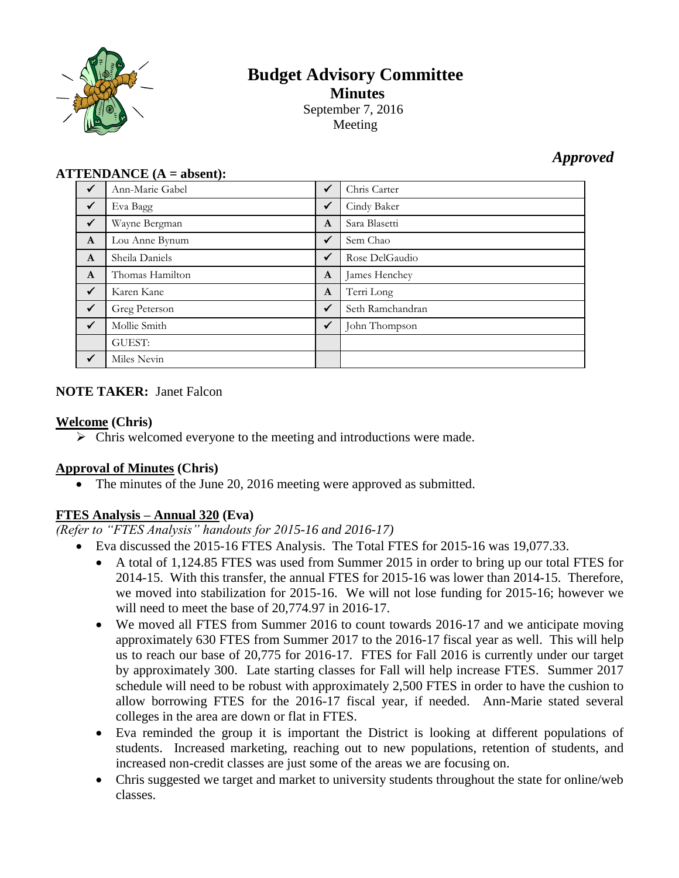

# **Budget Advisory Committee Minutes** September 7, 2016 Meeting

# *Approved*

## **ATTENDANCE (A = absent):**

| $\checkmark$ | Ann-Marie Gabel | ✓            | Chris Carter     |
|--------------|-----------------|--------------|------------------|
| $\checkmark$ | Eva Bagg        | $\checkmark$ | Cindy Baker      |
| $\checkmark$ | Wayne Bergman   | $\mathbf{A}$ | Sara Blasetti    |
| $\mathbf{A}$ | Lou Anne Bynum  | $\checkmark$ | Sem Chao         |
| $\mathbf{A}$ | Sheila Daniels  | $\checkmark$ | Rose DelGaudio   |
| $\mathbf{A}$ | Thomas Hamilton | $\mathbf{A}$ | James Henchey    |
| $\checkmark$ | Karen Kane      | $\mathbf{A}$ | Terri Long       |
| $\checkmark$ | Greg Peterson   | $\checkmark$ | Seth Ramchandran |
| $\checkmark$ | Mollie Smith    | $\sqrt{}$    | John Thompson    |
|              | <b>GUEST:</b>   |              |                  |
| $\checkmark$ | Miles Nevin     |              |                  |

## **NOTE TAKER:** Janet Falcon

## **Welcome (Chris)**

 $\triangleright$  Chris welcomed everyone to the meeting and introductions were made.

## **Approval of Minutes (Chris)**

The minutes of the June 20, 2016 meeting were approved as submitted.

## **FTES Analysis – Annual 320 (Eva)**

*(Refer to "FTES Analysis" handouts for 2015-16 and 2016-17)*

- Eva discussed the 2015-16 FTES Analysis. The Total FTES for 2015-16 was 19,077.33.
	- A total of 1,124.85 FTES was used from Summer 2015 in order to bring up our total FTES for 2014-15. With this transfer, the annual FTES for 2015-16 was lower than 2014-15. Therefore, we moved into stabilization for 2015-16. We will not lose funding for 2015-16; however we will need to meet the base of 20,774.97 in 2016-17.
	- We moved all FTES from Summer 2016 to count towards 2016-17 and we anticipate moving approximately 630 FTES from Summer 2017 to the 2016-17 fiscal year as well. This will help us to reach our base of 20,775 for 2016-17. FTES for Fall 2016 is currently under our target by approximately 300. Late starting classes for Fall will help increase FTES. Summer 2017 schedule will need to be robust with approximately 2,500 FTES in order to have the cushion to allow borrowing FTES for the 2016-17 fiscal year, if needed. Ann-Marie stated several colleges in the area are down or flat in FTES.
	- Eva reminded the group it is important the District is looking at different populations of students. Increased marketing, reaching out to new populations, retention of students, and increased non-credit classes are just some of the areas we are focusing on.
	- Chris suggested we target and market to university students throughout the state for online/web classes.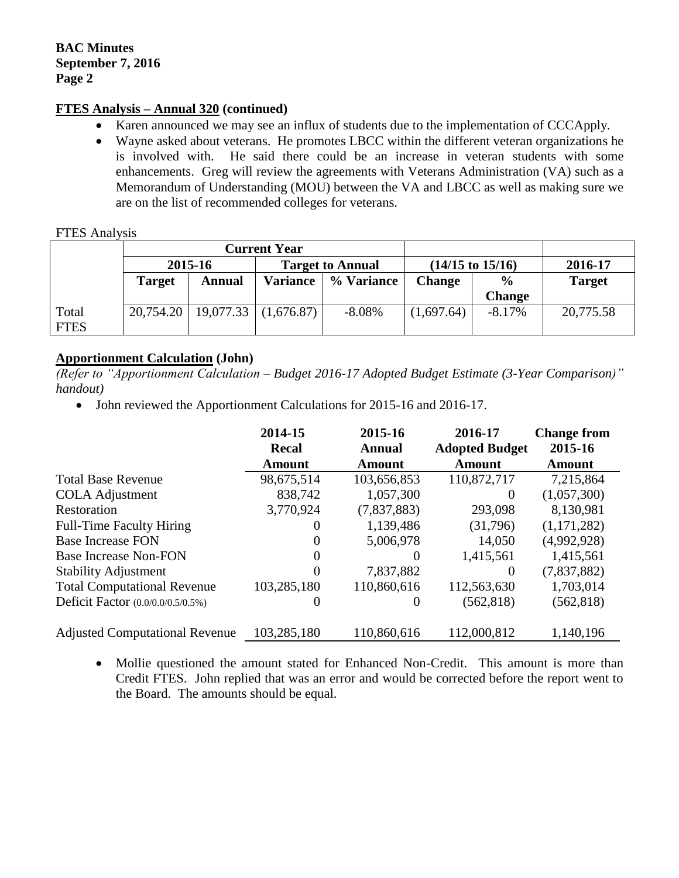## **FTES Analysis – Annual 320 (continued)**

- Karen announced we may see an influx of students due to the implementation of CCCApply.
- Wayne asked about veterans. He promotes LBCC within the different veteran organizations he is involved with. He said there could be an increase in veteran students with some enhancements. Greg will review the agreements with Veterans Administration (VA) such as a Memorandum of Understanding (MOU) between the VA and LBCC as well as making sure we are on the list of recommended colleges for veterans.

## FTES Analysis

|             | <b>Current Year</b> |                                      |                         |            |                             |               |               |
|-------------|---------------------|--------------------------------------|-------------------------|------------|-----------------------------|---------------|---------------|
|             | 2015-16             |                                      | <b>Target to Annual</b> |            | $(14/15 \text{ to } 15/16)$ |               | 2016-17       |
|             | <b>Target</b>       | <b>Annual</b>                        | <b>Variance</b>         | % Variance | <b>Change</b>               | $\frac{0}{0}$ | <b>Target</b> |
|             |                     |                                      |                         |            |                             | <b>Change</b> |               |
| Total       |                     | $20,754.20$   19,077.33   (1,676.87) |                         | $-8.08%$   | (1,697.64)                  | $-8.17%$      | 20,775.58     |
| <b>FTES</b> |                     |                                      |                         |            |                             |               |               |

## **Apportionment Calculation (John)**

*(Refer to "Apportionment Calculation – Budget 2016-17 Adopted Budget Estimate (3-Year Comparison)" handout)*

• John reviewed the Apportionment Calculations for 2015-16 and 2016-17.

|                                       | 2014-15<br><b>Recal</b> | 2015-16<br>Annual | 2016-17<br><b>Adopted Budget</b> | <b>Change from</b><br>2015-16 |
|---------------------------------------|-------------------------|-------------------|----------------------------------|-------------------------------|
|                                       | Amount                  | <b>Amount</b>     | <b>Amount</b>                    | <b>Amount</b>                 |
| <b>Total Base Revenue</b>             | 98,675,514              | 103,656,853       | 110,872,717                      | 7,215,864                     |
| <b>COLA</b> Adjustment                | 838,742                 | 1,057,300         | $\theta$                         | (1,057,300)                   |
| Restoration                           | 3,770,924               | (7,837,883)       | 293,098                          | 8,130,981                     |
| <b>Full-Time Faculty Hiring</b>       | $\theta$                | 1,139,486         | (31,796)                         | (1,171,282)                   |
| <b>Base Increase FON</b>              | $\Omega$                | 5,006,978         | 14,050                           | (4,992,928)                   |
| <b>Base Increase Non-FON</b>          | $\Omega$                | $\theta$          | 1,415,561                        | 1,415,561                     |
| <b>Stability Adjustment</b>           | $\theta$                | 7,837,882         | $\Omega$                         | (7,837,882)                   |
| <b>Total Computational Revenue</b>    | 103,285,180             | 110,860,616       | 112,563,630                      | 1,703,014                     |
| Deficit Factor (0.0/0.0/0.5/0.5%)     | $\theta$                | 0                 | (562, 818)                       | (562, 818)                    |
| <b>Adjusted Computational Revenue</b> | 103,285,180             | 110,860,616       | 112,000,812                      | 1,140,196                     |

• Mollie questioned the amount stated for Enhanced Non-Credit. This amount is more than Credit FTES. John replied that was an error and would be corrected before the report went to the Board. The amounts should be equal.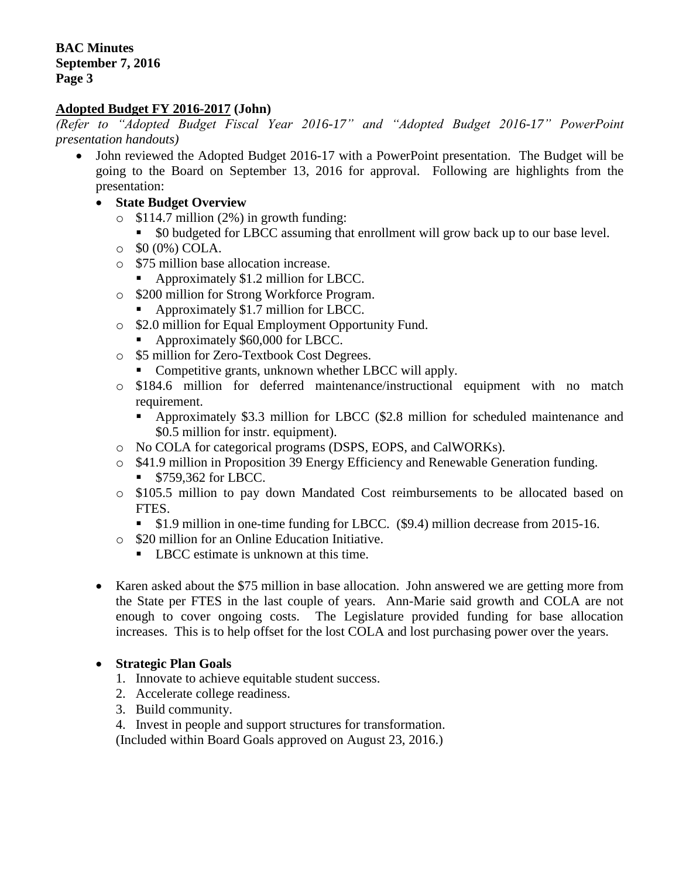## **Adopted Budget FY 2016-2017 (John)**

*(Refer to "Adopted Budget Fiscal Year 2016-17" and "Adopted Budget 2016-17" PowerPoint presentation handouts)*

- John reviewed the Adopted Budget 2016-17 with a PowerPoint presentation. The Budget will be going to the Board on September 13, 2016 for approval. Following are highlights from the presentation:
	- **State Budget Overview**
		- $\circ$  \$114.7 million (2%) in growth funding:
			- \$0 budgeted for LBCC assuming that enrollment will grow back up to our base level.
		- $\circ$  \$0 (0%) COLA.
		- o \$75 million base allocation increase.
			- Approximately \$1.2 million for LBCC.
		- o \$200 million for Strong Workforce Program.
			- Approximately \$1.7 million for LBCC.
		- o \$2.0 million for Equal Employment Opportunity Fund.
			- Approximately \$60,000 for LBCC.
		- o \$5 million for Zero-Textbook Cost Degrees.
			- Competitive grants, unknown whether LBCC will apply.
		- o \$184.6 million for deferred maintenance/instructional equipment with no match requirement.
			- Approximately \$3.3 million for LBCC (\$2.8 million for scheduled maintenance and \$0.5 million for instr. equipment).
		- o No COLA for categorical programs (DSPS, EOPS, and CalWORKs).
		- o \$41.9 million in Proposition 39 Energy Efficiency and Renewable Generation funding.
			- **S759,362 for LBCC.**
		- o \$105.5 million to pay down Mandated Cost reimbursements to be allocated based on FTES.
			- **S1.9 million in one-time funding for LBCC.** (\$9.4) million decrease from 2015-16.
		- o \$20 million for an Online Education Initiative.
			- LBCC estimate is unknown at this time.
	- Karen asked about the \$75 million in base allocation. John answered we are getting more from the State per FTES in the last couple of years. Ann-Marie said growth and COLA are not enough to cover ongoing costs. The Legislature provided funding for base allocation increases. This is to help offset for the lost COLA and lost purchasing power over the years.

## **Strategic Plan Goals**

- 1. Innovate to achieve equitable student success.
- 2. Accelerate college readiness.
- 3. Build community.
- 4. Invest in people and support structures for transformation.

(Included within Board Goals approved on August 23, 2016.)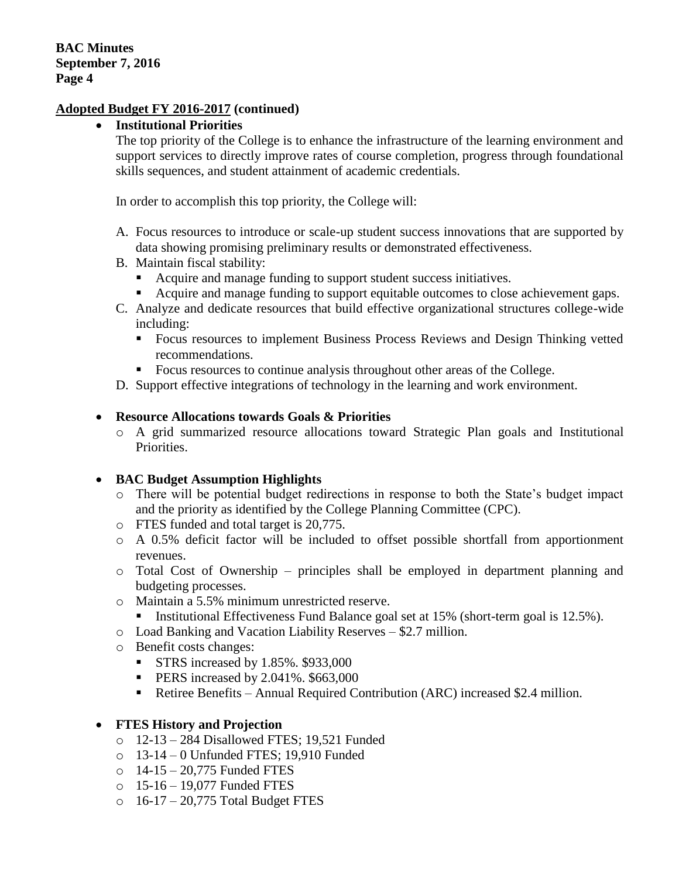## **Institutional Priorities**

The top priority of the College is to enhance the infrastructure of the learning environment and support services to directly improve rates of course completion, progress through foundational skills sequences, and student attainment of academic credentials.

In order to accomplish this top priority, the College will:

- A. Focus resources to introduce or scale-up student success innovations that are supported by data showing promising preliminary results or demonstrated effectiveness.
- B. Maintain fiscal stability:
	- Acquire and manage funding to support student success initiatives.
	- Acquire and manage funding to support equitable outcomes to close achievement gaps.
- C. Analyze and dedicate resources that build effective organizational structures college-wide including:
	- **Focus resources to implement Business Process Reviews and Design Thinking vetted** recommendations.
	- Focus resources to continue analysis throughout other areas of the College.
- D. Support effective integrations of technology in the learning and work environment.

## **Resource Allocations towards Goals & Priorities**

o A grid summarized resource allocations toward Strategic Plan goals and Institutional Priorities.

## **BAC Budget Assumption Highlights**

- o There will be potential budget redirections in response to both the State's budget impact and the priority as identified by the College Planning Committee (CPC).
- o FTES funded and total target is 20,775.
- $\circ$  A 0.5% deficit factor will be included to offset possible shortfall from apportionment revenues.
- $\circ$  Total Cost of Ownership principles shall be employed in department planning and budgeting processes.
- o Maintain a 5.5% minimum unrestricted reserve.
- Institutional Effectiveness Fund Balance goal set at 15% (short-term goal is 12.5%).
- o Load Banking and Vacation Liability Reserves \$2.7 million.
- o Benefit costs changes:
	- STRS increased by  $1.85\%$ . \$933,000
	- $\blacksquare$  PERS increased by 2.041%. \$663,000
	- Retiree Benefits Annual Required Contribution (ARC) increased \$2.4 million.

#### **FTES History and Projection**

- o 12-13 284 Disallowed FTES; 19,521 Funded
- o 13-14 0 Unfunded FTES; 19,910 Funded
- $\circ$  14-15 20.775 Funded FTES
- o 15-16 19,077 Funded FTES
- $\circ$  16-17 20,775 Total Budget FTES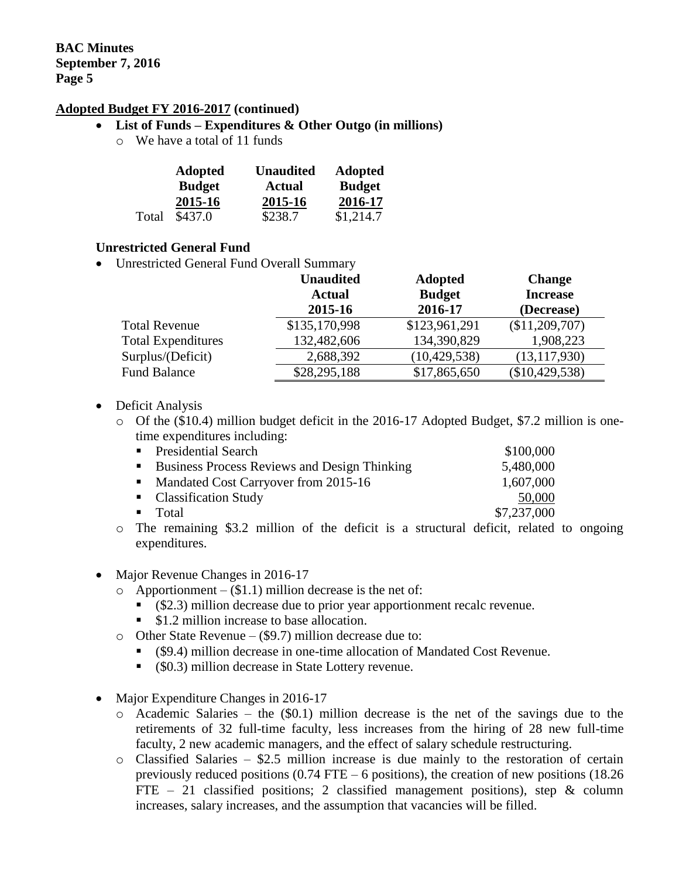## **List of Funds – Expenditures & Other Outgo (in millions)**

o We have a total of 11 funds

|       | <b>Adopted</b> | <b>Unaudited</b> | <b>Adopted</b> |  |
|-------|----------------|------------------|----------------|--|
|       | <b>Budget</b>  | <b>Actual</b>    | <b>Budget</b>  |  |
|       | 2015-16        | 2015-16          | 2016-17        |  |
| Total | \$437.0        | \$238.7          | \$1,214.7      |  |

#### **Unrestricted General Fund**

Unrestricted General Fund Overall Summary

|                           | <b>Unaudited</b> | <b>Adopted</b> | <b>Change</b>   |
|---------------------------|------------------|----------------|-----------------|
|                           | <b>Actual</b>    | <b>Budget</b>  | <b>Increase</b> |
|                           | 2015-16          | 2016-17        | (Decrease)      |
| <b>Total Revenue</b>      | \$135,170,998    | \$123,961,291  | (\$11,209,707)  |
| <b>Total Expenditures</b> | 132,482,606      | 134,390,829    | 1,908,223       |
| Surplus/(Deficit)         | 2,688,392        | (10, 429, 538) | (13, 117, 930)  |
| <b>Fund Balance</b>       | \$28,295,188     | \$17,865,650   | (\$10,429,538)  |

- Deficit Analysis
	- o Of the (\$10.4) million budget deficit in the 2016-17 Adopted Budget, \$7.2 million is onetime expenditures including:

| • Presidential Search                                                         | \$100,000   |
|-------------------------------------------------------------------------------|-------------|
| ■ Business Process Reviews and Design Thinking                                | 5,480,000   |
| • Mandated Cost Carryover from 2015-16                                        | 1,607,000   |
| • Classification Study                                                        | 50,000      |
| $\blacksquare$ Total                                                          | \$7,237,000 |
| The neuralistic 02.2 unilliant of the deficit is a structured deficit related |             |

- o The remaining \$3.2 million of the deficit is a structural deficit, related to ongoing expenditures.
- Major Revenue Changes in 2016-17
	- $\circ$  Apportionment (\$1.1) million decrease is the net of:
		- (\$2.3) million decrease due to prior year apportionment recalc revenue.
		- \$1.2 million increase to base allocation.
	- o Other State Revenue (\$9.7) million decrease due to:
		- (\$9.4) million decrease in one-time allocation of Mandated Cost Revenue.
		- (\$0.3) million decrease in State Lottery revenue.
- Major Expenditure Changes in 2016-17
	- $\circ$  Academic Salaries the (\$0.1) million decrease is the net of the savings due to the retirements of 32 full-time faculty, less increases from the hiring of 28 new full-time faculty, 2 new academic managers, and the effect of salary schedule restructuring.
	- $\circ$  Classified Salaries \$2.5 million increase is due mainly to the restoration of certain previously reduced positions (0.74 FTE – 6 positions), the creation of new positions (18.26 FTE – 21 classified positions; 2 classified management positions), step  $\&$  column increases, salary increases, and the assumption that vacancies will be filled.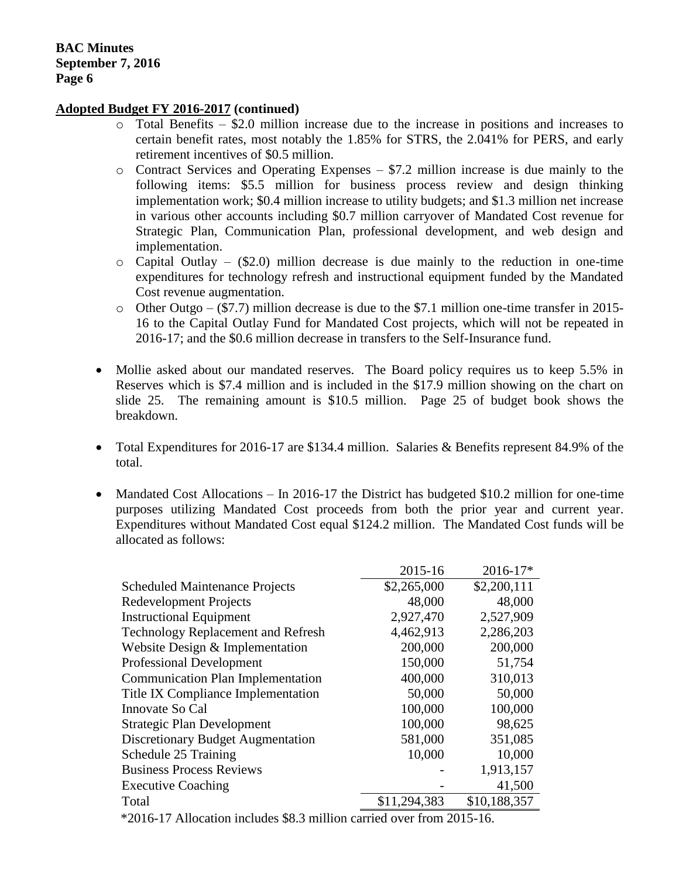- o Total Benefits \$2.0 million increase due to the increase in positions and increases to certain benefit rates, most notably the 1.85% for STRS, the 2.041% for PERS, and early retirement incentives of \$0.5 million.
- o Contract Services and Operating Expenses \$7.2 million increase is due mainly to the following items: \$5.5 million for business process review and design thinking implementation work; \$0.4 million increase to utility budgets; and \$1.3 million net increase in various other accounts including \$0.7 million carryover of Mandated Cost revenue for Strategic Plan, Communication Plan, professional development, and web design and implementation.
- $\circ$  Capital Outlay (\$2.0) million decrease is due mainly to the reduction in one-time expenditures for technology refresh and instructional equipment funded by the Mandated Cost revenue augmentation.
- o Other Outgo (\$7.7) million decrease is due to the \$7.1 million one-time transfer in 2015- 16 to the Capital Outlay Fund for Mandated Cost projects, which will not be repeated in 2016-17; and the \$0.6 million decrease in transfers to the Self-Insurance fund.
- Mollie asked about our mandated reserves. The Board policy requires us to keep 5.5% in Reserves which is \$7.4 million and is included in the \$17.9 million showing on the chart on slide 25. The remaining amount is \$10.5 million. Page 25 of budget book shows the breakdown.
- Total Expenditures for 2016-17 are \$134.4 million. Salaries & Benefits represent 84.9% of the total.
- Mandated Cost Allocations In 2016-17 the District has budgeted \$10.2 million for one-time purposes utilizing Mandated Cost proceeds from both the prior year and current year. Expenditures without Mandated Cost equal \$124.2 million. The Mandated Cost funds will be allocated as follows:

|                                                                            | 2015-16      | 2016-17*     |  |  |
|----------------------------------------------------------------------------|--------------|--------------|--|--|
| <b>Scheduled Maintenance Projects</b>                                      | \$2,265,000  | \$2,200,111  |  |  |
| <b>Redevelopment Projects</b>                                              | 48,000       | 48,000       |  |  |
| <b>Instructional Equipment</b>                                             | 2,927,470    | 2,527,909    |  |  |
| <b>Technology Replacement and Refresh</b>                                  | 4,462,913    | 2,286,203    |  |  |
| Website Design & Implementation                                            | 200,000      | 200,000      |  |  |
| <b>Professional Development</b>                                            | 150,000      | 51,754       |  |  |
| <b>Communication Plan Implementation</b>                                   | 400,000      | 310,013      |  |  |
| Title IX Compliance Implementation                                         | 50,000       | 50,000       |  |  |
| Innovate So Cal                                                            | 100,000      | 100,000      |  |  |
| <b>Strategic Plan Development</b>                                          | 100,000      | 98,625       |  |  |
| <b>Discretionary Budget Augmentation</b>                                   | 581,000      | 351,085      |  |  |
| Schedule 25 Training                                                       | 10,000       | 10,000       |  |  |
| <b>Business Process Reviews</b>                                            |              | 1,913,157    |  |  |
| <b>Executive Coaching</b>                                                  |              | 41,500       |  |  |
| Total                                                                      | \$11,294,383 | \$10,188,357 |  |  |
| $*2016-17$ Allocation includes $\$8.3$ million carried over from $2015-16$ |              |              |  |  |

 $2016$ -17 Allocation includes \$8.3 million carried over from 2015-16.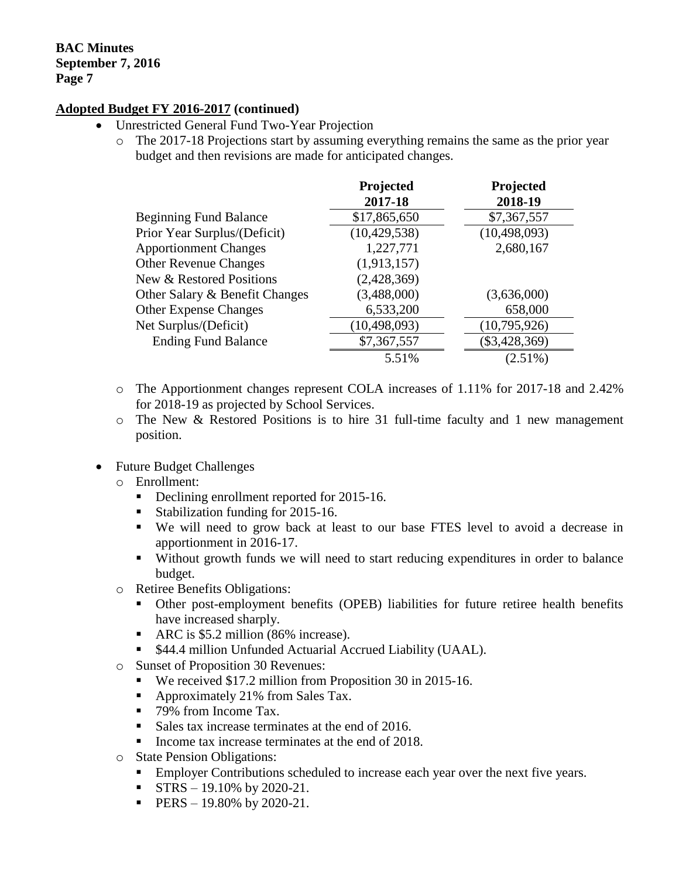- Unrestricted General Fund Two-Year Projection
	- o The 2017-18 Projections start by assuming everything remains the same as the prior year budget and then revisions are made for anticipated changes.

|                                | Projected<br>2017-18 | Projected<br>2018-19 |
|--------------------------------|----------------------|----------------------|
| <b>Beginning Fund Balance</b>  | \$17,865,650         | \$7,367,557          |
| Prior Year Surplus/(Deficit)   | (10, 429, 538)       | (10, 498, 093)       |
| <b>Apportionment Changes</b>   | 1,227,771            | 2,680,167            |
| <b>Other Revenue Changes</b>   | (1,913,157)          |                      |
| New & Restored Positions       | (2,428,369)          |                      |
| Other Salary & Benefit Changes | (3,488,000)          | (3,636,000)          |
| <b>Other Expense Changes</b>   | 6,533,200            | 658,000              |
| Net Surplus/(Deficit)          | (10, 498, 093)       | (10,795,926)         |
| <b>Ending Fund Balance</b>     | \$7,367,557          | $(\$3,428,369)$      |
|                                | 5.51%                | $(2.51\%)$           |

- o The Apportionment changes represent COLA increases of 1.11% for 2017-18 and 2.42% for 2018-19 as projected by School Services.
- o The New & Restored Positions is to hire 31 full-time faculty and 1 new management position.
- Future Budget Challenges
	- o Enrollment:
		- Declining enrollment reported for 2015-16.
		- Stabilization funding for 2015-16.
		- We will need to grow back at least to our base FTES level to avoid a decrease in apportionment in 2016-17.
		- Without growth funds we will need to start reducing expenditures in order to balance budget.
	- o Retiree Benefits Obligations:
		- Other post-employment benefits (OPEB) liabilities for future retiree health benefits have increased sharply.
		- ARC is \$5.2 million (86% increase).
		- \$44.4 million Unfunded Actuarial Accrued Liability (UAAL).
	- o Sunset of Proposition 30 Revenues:
		- We received \$17.2 million from Proposition 30 in 2015-16.
		- Approximately 21% from Sales Tax.
		- 79% from Income Tax.
		- Sales tax increase terminates at the end of 2016.
		- Income tax increase terminates at the end of 2018.
	- o State Pension Obligations:
		- **Employer Contributions scheduled to increase each year over the next five years.**
		- STRS 19.10% by 2020-21.
		- **PERS** 19.80% by 2020-21.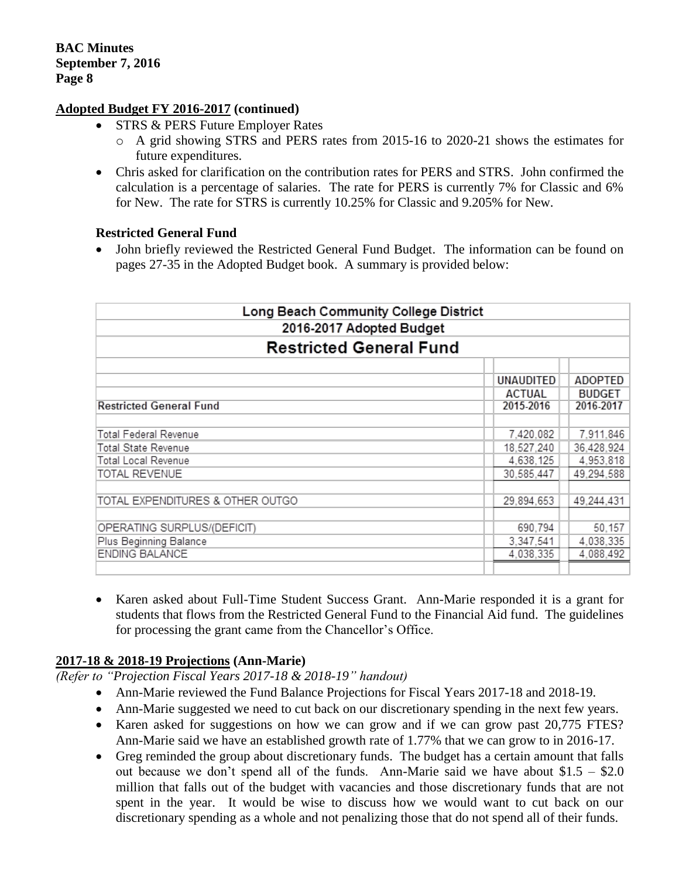- STRS & PERS Future Employer Rates
	- o A grid showing STRS and PERS rates from 2015-16 to 2020-21 shows the estimates for future expenditures.
- Chris asked for clarification on the contribution rates for PERS and STRS. John confirmed the calculation is a percentage of salaries. The rate for PERS is currently 7% for Classic and 6% for New. The rate for STRS is currently 10.25% for Classic and 9.205% for New.

## **Restricted General Fund**

 John briefly reviewed the Restricted General Fund Budget. The information can be found on pages 27-35 in the Adopted Budget book. A summary is provided below:

| Long Beach Community College District<br>2016-2017 Adopted Budget<br><b>Restricted General Fund</b> |               |               |  |  |  |           |                |
|-----------------------------------------------------------------------------------------------------|---------------|---------------|--|--|--|-----------|----------------|
|                                                                                                     |               |               |  |  |  |           |                |
|                                                                                                     |               |               |  |  |  | UNAUDITED | <b>ADOPTED</b> |
|                                                                                                     | <b>ACTUAL</b> | <b>BUDGET</b> |  |  |  |           |                |
| <b>Restricted General Fund</b>                                                                      | 2015-2016     | 2016-2017     |  |  |  |           |                |
|                                                                                                     |               |               |  |  |  |           |                |
| <b>Total Federal Revenue</b>                                                                        | 7,420,082     | 7,911,846     |  |  |  |           |                |
| <b>Total State Revenue</b>                                                                          | 18,527,240    | 36.428.924    |  |  |  |           |                |
| Total Local Revenue                                                                                 | 4,638,125     | 4,953,818     |  |  |  |           |                |
| TOTAL REVENUE                                                                                       | 30,585,447    | 49,294,588    |  |  |  |           |                |
|                                                                                                     |               |               |  |  |  |           |                |
| TOTAL EXPENDITURES & OTHER OUTGO                                                                    | 29,894,653    | 49,244,431    |  |  |  |           |                |
|                                                                                                     |               |               |  |  |  |           |                |
| OPERATING SURPLUS/(DEFICIT)                                                                         | 690,794       | 50,157        |  |  |  |           |                |
| Plus Beginning Balance                                                                              | 3,347,541     | 4,038,335     |  |  |  |           |                |
| ENDING BALANCE                                                                                      | 4,038,335     | 4,088,492     |  |  |  |           |                |
|                                                                                                     |               |               |  |  |  |           |                |

 Karen asked about Full-Time Student Success Grant. Ann-Marie responded it is a grant for students that flows from the Restricted General Fund to the Financial Aid fund. The guidelines for processing the grant came from the Chancellor's Office.

## **2017-18 & 2018-19 Projections (Ann-Marie)**

*(Refer to "Projection Fiscal Years 2017-18 & 2018-19" handout)*

- Ann-Marie reviewed the Fund Balance Projections for Fiscal Years 2017-18 and 2018-19.
- Ann-Marie suggested we need to cut back on our discretionary spending in the next few years.
- Karen asked for suggestions on how we can grow and if we can grow past 20,775 FTES? Ann-Marie said we have an established growth rate of 1.77% that we can grow to in 2016-17.
- Greg reminded the group about discretionary funds. The budget has a certain amount that falls out because we don't spend all of the funds. Ann-Marie said we have about  $$1.5 - $2.0$ million that falls out of the budget with vacancies and those discretionary funds that are not spent in the year. It would be wise to discuss how we would want to cut back on our discretionary spending as a whole and not penalizing those that do not spend all of their funds.